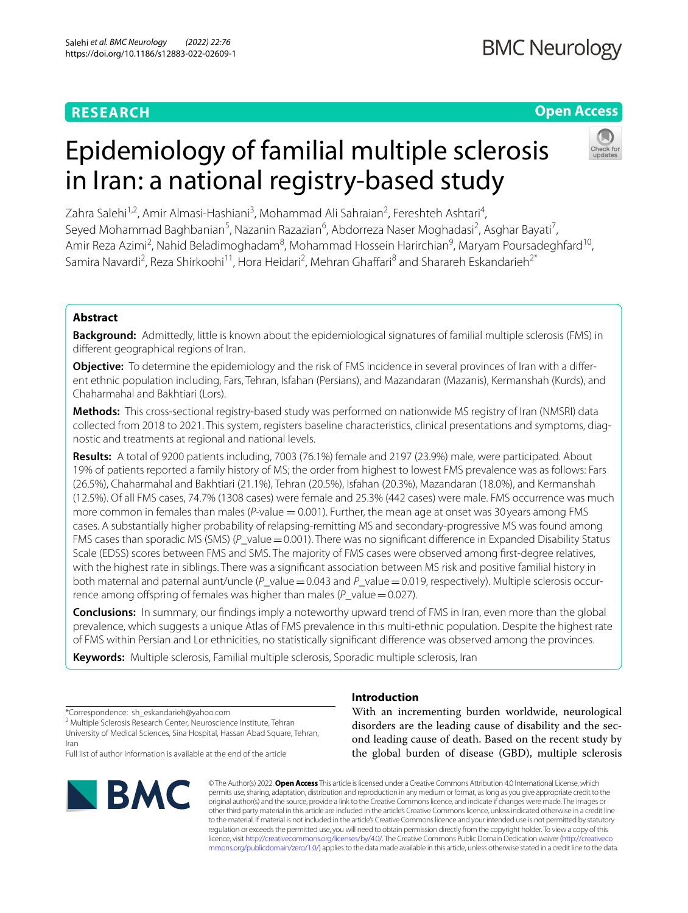# **RESEARCH**

**BMC Neurology** 

# **Open Access**

# Epidemiology of familial multiple sclerosis in Iran: a national registry-based study

Zahra Salehi<sup>1,2</sup>, Amir Almasi-Hashiani<sup>3</sup>, Mohammad Ali Sahraian<sup>2</sup>, Fereshteh Ashtari<sup>4</sup>, Seyed Mohammad Baghbanian<sup>5</sup>, Nazanin Razazian<sup>6</sup>, Abdorreza Naser Moghadasi<sup>2</sup>, Asghar Bayati<sup>7</sup>, Amir Reza Azimi<sup>2</sup>, Nahid Beladimoghadam<sup>8</sup>, Mohammad Hossein Harirchian<sup>9</sup>, Maryam Poursadeghfard<sup>10</sup>, Samira Navardi<sup>2</sup>, Reza Shirkoohi<sup>11</sup>, Hora Heidari<sup>2</sup>, Mehran Ghaffari<sup>8</sup> and Sharareh Eskandarieh<sup>2\*</sup>

# **Abstract**

**Background:** Admittedly, little is known about the epidemiological signatures of familial multiple sclerosis (FMS) in diferent geographical regions of Iran.

**Objective:** To determine the epidemiology and the risk of FMS incidence in several provinces of Iran with a different ethnic population including, Fars, Tehran, Isfahan (Persians), and Mazandaran (Mazanis), Kermanshah (Kurds), and Chaharmahal and Bakhtiari (Lors).

**Methods:** This cross-sectional registry-based study was performed on nationwide MS registry of Iran (NMSRI) data collected from 2018 to 2021. This system, registers baseline characteristics, clinical presentations and symptoms, diagnostic and treatments at regional and national levels.

**Results:** A total of 9200 patients including, 7003 (76.1%) female and 2197 (23.9%) male, were participated. About 19% of patients reported a family history of MS; the order from highest to lowest FMS prevalence was as follows: Fars (26.5%), Chaharmahal and Bakhtiari (21.1%), Tehran (20.5%), Isfahan (20.3%), Mazandaran (18.0%), and Kermanshah (12.5%). Of all FMS cases, 74.7% (1308 cases) were female and 25.3% (442 cases) were male. FMS occurrence was much more common in females than males (*P*-value = 0.001). Further, the mean age at onset was 30 years among FMS cases. A substantially higher probability of relapsing-remitting MS and secondary-progressive MS was found among FMS cases than sporadic MS (SMS) (P\_value = 0.001). There was no significant difference in Expanded Disability Status Scale (EDSS) scores between FMS and SMS. The majority of FMS cases were observed among frst-degree relatives, with the highest rate in siblings. There was a signifcant association between MS risk and positive familial history in both maternal and paternal aunt/uncle (P\_value=0.043 and P\_value=0.019, respectively). Multiple sclerosis occurrence among offspring of females was higher than males (*P\_value* = 0.027).

**Conclusions:** In summary, our fndings imply a noteworthy upward trend of FMS in Iran, even more than the global prevalence, which suggests a unique Atlas of FMS prevalence in this multi-ethnic population. Despite the highest rate of FMS within Persian and Lor ethnicities, no statistically signifcant diference was observed among the provinces.

**Keywords:** Multiple sclerosis, Familial multiple sclerosis, Sporadic multiple sclerosis, Iran

\*Correspondence: sh\_eskandarieh@yahoo.com

<sup>2</sup> Multiple Sclerosis Research Center, Neuroscience Institute, Tehran University of Medical Sciences, Sina Hospital, Hassan Abad Square, Tehran, Iran

Full list of author information is available at the end of the article



# **Introduction**

With an incrementing burden worldwide, neurological disorders are the leading cause of disability and the second leading cause of death. Based on the recent study by the global burden of disease (GBD), multiple sclerosis

© The Author(s) 2022. **Open Access** This article is licensed under a Creative Commons Attribution 4.0 International License, which permits use, sharing, adaptation, distribution and reproduction in any medium or format, as long as you give appropriate credit to the original author(s) and the source, provide a link to the Creative Commons licence, and indicate if changes were made. The images or other third party material in this article are included in the article's Creative Commons licence, unless indicated otherwise in a credit line to the material. If material is not included in the article's Creative Commons licence and your intended use is not permitted by statutory regulation or exceeds the permitted use, you will need to obtain permission directly from the copyright holder. To view a copy of this licence, visit [http://creativecommons.org/licenses/by/4.0/.](http://creativecommons.org/licenses/by/4.0/) The Creative Commons Public Domain Dedication waiver ([http://creativeco](http://creativecommons.org/publicdomain/zero/1.0/) [mmons.org/publicdomain/zero/1.0/](http://creativecommons.org/publicdomain/zero/1.0/)) applies to the data made available in this article, unless otherwise stated in a credit line to the data.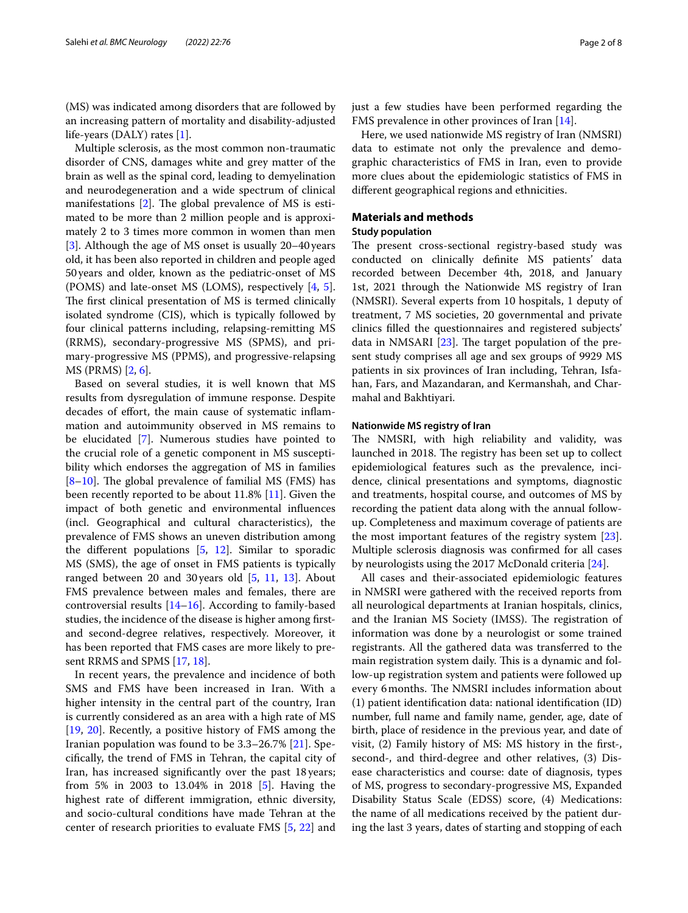(MS) was indicated among disorders that are followed by an increasing pattern of mortality and disability-adjusted life-years (DALY) rates [[1](#page-6-0)].

Multiple sclerosis, as the most common non-traumatic disorder of CNS, damages white and grey matter of the brain as well as the spinal cord, leading to demyelination and neurodegeneration and a wide spectrum of clinical manifestations  $[2]$  $[2]$  $[2]$ . The global prevalence of MS is estimated to be more than 2 million people and is approximately 2 to 3 times more common in women than men [[3\]](#page-6-2). Although the age of MS onset is usually 20–40 years old, it has been also reported in children and people aged 50years and older, known as the pediatric-onset of MS (POMS) and late-onset MS (LOMS), respectively [\[4](#page-7-0), [5](#page-7-1)]. The first clinical presentation of MS is termed clinically isolated syndrome (CIS), which is typically followed by four clinical patterns including, relapsing-remitting MS (RRMS), secondary-progressive MS (SPMS), and primary-progressive MS (PPMS), and progressive-relapsing MS (PRMS) [\[2](#page-6-1), [6\]](#page-7-2).

Based on several studies, it is well known that MS results from dysregulation of immune response. Despite decades of effort, the main cause of systematic inflammation and autoimmunity observed in MS remains to be elucidated [[7](#page-7-3)]. Numerous studies have pointed to the crucial role of a genetic component in MS susceptibility which endorses the aggregation of MS in families  $[8-10]$  $[8-10]$ . The global prevalence of familial MS (FMS) has been recently reported to be about 11.8% [\[11](#page-7-6)]. Given the impact of both genetic and environmental infuences (incl. Geographical and cultural characteristics), the prevalence of FMS shows an uneven distribution among the diferent populations [\[5,](#page-7-1) [12\]](#page-7-7). Similar to sporadic MS (SMS), the age of onset in FMS patients is typically ranged between 20 and 30years old [[5,](#page-7-1) [11,](#page-7-6) [13](#page-7-8)]. About FMS prevalence between males and females, there are controversial results [[14](#page-7-9)[–16](#page-7-10)]. According to family-based studies, the incidence of the disease is higher among frstand second-degree relatives, respectively. Moreover, it has been reported that FMS cases are more likely to present RRMS and SPMS [[17](#page-7-11), [18\]](#page-7-12).

In recent years, the prevalence and incidence of both SMS and FMS have been increased in Iran. With a higher intensity in the central part of the country, Iran is currently considered as an area with a high rate of MS [[19,](#page-7-13) [20\]](#page-7-14). Recently, a positive history of FMS among the Iranian population was found to be 3.3–26.7% [[21\]](#page-7-15). Specifcally, the trend of FMS in Tehran, the capital city of Iran, has increased signifcantly over the past 18 years; from 5% in 2003 to 13.04% in 2018 [[5\]](#page-7-1). Having the highest rate of diferent immigration, ethnic diversity, and socio-cultural conditions have made Tehran at the center of research priorities to evaluate FMS [\[5](#page-7-1), [22](#page-7-16)] and just a few studies have been performed regarding the FMS prevalence in other provinces of Iran [\[14](#page-7-9)].

Here, we used nationwide MS registry of Iran (NMSRI) data to estimate not only the prevalence and demographic characteristics of FMS in Iran, even to provide more clues about the epidemiologic statistics of FMS in diferent geographical regions and ethnicities.

#### **Materials and methods**

# **Study population**

The present cross-sectional registry-based study was conducted on clinically defnite MS patients' data recorded between December 4th, 2018, and January 1st, 2021 through the Nationwide MS registry of Iran (NMSRI). Several experts from 10 hospitals, 1 deputy of treatment, 7 MS societies, 20 governmental and private clinics flled the questionnaires and registered subjects' data in NMSARI  $[23]$  $[23]$  $[23]$ . The target population of the present study comprises all age and sex groups of 9929 MS patients in six provinces of Iran including, Tehran, Isfahan, Fars, and Mazandaran, and Kermanshah, and Charmahal and Bakhtiyari.

#### **Nationwide MS registry of Iran**

The NMSRI, with high reliability and validity, was launched in 2018. The registry has been set up to collect epidemiological features such as the prevalence, incidence, clinical presentations and symptoms, diagnostic and treatments, hospital course, and outcomes of MS by recording the patient data along with the annual followup. Completeness and maximum coverage of patients are the most important features of the registry system [\[23](#page-7-17)]. Multiple sclerosis diagnosis was confrmed for all cases by neurologists using the 2017 McDonald criteria [\[24\]](#page-7-18).

All cases and their-associated epidemiologic features in NMSRI were gathered with the received reports from all neurological departments at Iranian hospitals, clinics, and the Iranian MS Society (IMSS). The registration of information was done by a neurologist or some trained registrants. All the gathered data was transferred to the main registration system daily. This is a dynamic and follow-up registration system and patients were followed up every 6 months. The NMSRI includes information about (1) patient identifcation data: national identifcation (ID) number, full name and family name, gender, age, date of birth, place of residence in the previous year, and date of visit, (2) Family history of MS: MS history in the frst-, second-, and third-degree and other relatives, (3) Disease characteristics and course: date of diagnosis, types of MS, progress to secondary-progressive MS, Expanded Disability Status Scale (EDSS) score, (4) Medications: the name of all medications received by the patient during the last 3 years, dates of starting and stopping of each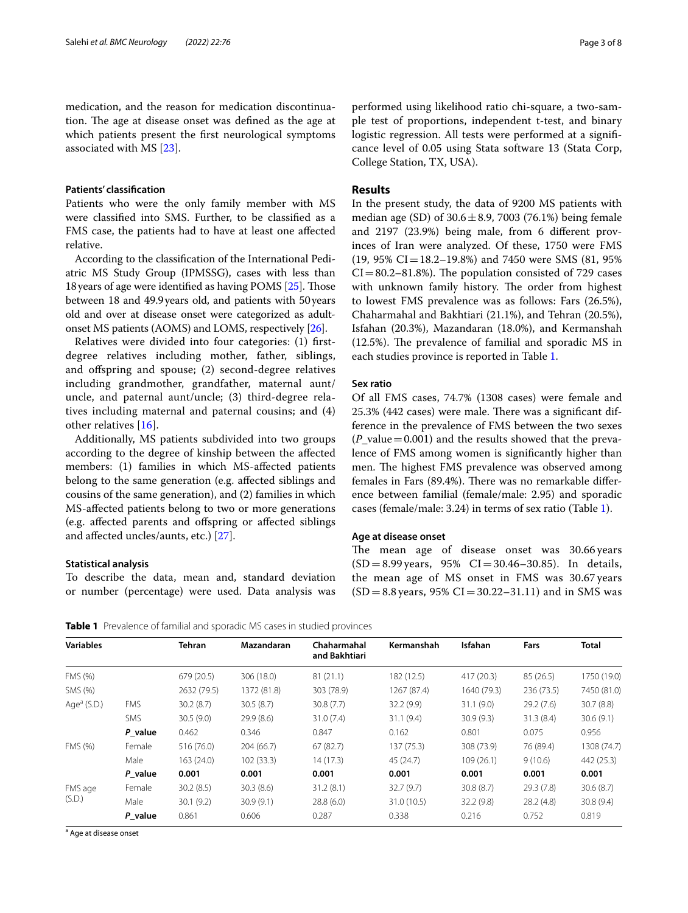medication, and the reason for medication discontinuation. The age at disease onset was defined as the age at which patients present the frst neurological symptoms associated with MS [\[23](#page-7-17)].

#### **Patients' classifcation**

Patients who were the only family member with MS were classifed into SMS. Further, to be classifed as a FMS case, the patients had to have at least one afected relative.

According to the classifcation of the International Pediatric MS Study Group (IPMSSG), cases with less than 18 years of age were identified as having POMS [\[25\]](#page-7-19). Those between 18 and 49.9years old, and patients with 50years old and over at disease onset were categorized as adultonset MS patients (AOMS) and LOMS, respectively [[26](#page-7-20)].

Relatives were divided into four categories: (1) frstdegree relatives including mother, father, siblings, and ofspring and spouse; (2) second-degree relatives including grandmother, grandfather, maternal aunt/ uncle, and paternal aunt/uncle; (3) third-degree relatives including maternal and paternal cousins; and (4) other relatives [[16\]](#page-7-10).

Additionally, MS patients subdivided into two groups according to the degree of kinship between the afected members: (1) families in which MS-afected patients belong to the same generation (e.g. afected siblings and cousins of the same generation), and (2) families in which MS-afected patients belong to two or more generations (e.g. afected parents and ofspring or afected siblings and afected uncles/aunts, etc.) [[27](#page-7-21)].

#### **Statistical analysis**

To describe the data, mean and, standard deviation or number (percentage) were used. Data analysis was performed using likelihood ratio chi-square, a two-sample test of proportions, independent t-test, and binary logistic regression. All tests were performed at a signifcance level of 0.05 using Stata software 13 (Stata Corp, College Station, TX, USA).

#### **Results**

In the present study, the data of 9200 MS patients with median age (SD) of  $30.6 \pm 8.9$ , 7003 (76.1%) being female and 2197 (23.9%) being male, from 6 diferent provinces of Iran were analyzed. Of these, 1750 were FMS  $(19, 95\% \text{ CI} = 18.2 - 19.8\%)$  and 7450 were SMS (81, 95%)  $CI = 80.2 - 81.8\%$ . The population consisted of 729 cases with unknown family history. The order from highest to lowest FMS prevalence was as follows: Fars (26.5%), Chaharmahal and Bakhtiari (21.1%), and Tehran (20.5%), Isfahan (20.3%), Mazandaran (18.0%), and Kermanshah  $(12.5\%)$ . The prevalence of familial and sporadic MS in each studies province is reported in Table [1](#page-2-0).

# **Sex ratio**

Of all FMS cases, 74.7% (1308 cases) were female and  $25.3\%$  (442 cases) were male. There was a significant difference in the prevalence of FMS between the two sexes  $(P_{value}=0.001)$  and the results showed that the prevalence of FMS among women is signifcantly higher than men. The highest FMS prevalence was observed among females in Fars (89.4%). There was no remarkable difference between familial (female/male: 2.95) and sporadic cases (female/male: 3.24) in terms of sex ratio (Table [1\)](#page-2-0).

#### **Age at disease onset**

The mean age of disease onset was 30.66 years  $(SD = 8.99 \text{ years}, 95\% \text{ CI} = 30.46 - 30.85)$ . In details, the mean age of MS onset in FMS was 30.67 years  $(SD = 8.8 \text{ years}, 95\% \text{ CI} = 30.22 - 31.11)$  and in SMS was

<span id="page-2-0"></span>**Table 1** Prevalence of familial and sporadic MS cases in studied provinces

| <b>Variables</b>    |            | <b>Tehran</b> | Mazandaran  | Chaharmahal<br>and Bakhtiari | Kermanshah  | <b>Isfahan</b> | Fars       | <b>Total</b> |
|---------------------|------------|---------------|-------------|------------------------------|-------------|----------------|------------|--------------|
| FMS (%)             |            | 679(20.5)     | 306 (18.0)  | 81(21.1)                     | 182 (12.5)  | 417 (20.3)     | 85(26.5)   | 1750 (19.0)  |
| SMS (%)             |            | 2632 (79.5)   | 1372 (81.8) | 303 (78.9)                   | 1267 (87.4) | 1640 (79.3)    | 236 (73.5) | 7450 (81.0)  |
| Age $\alpha$ (S.D.) | <b>FMS</b> | 30.2(8.7)     | 30.5(8.7)   | 30.8(7.7)                    | 32.2(9.9)   | 31.1(9.0)      | 29.2(7.6)  | 30.7(8.8)    |
|                     | <b>SMS</b> | 30.5(9.0)     | 29.9(8.6)   | 31.0(7.4)                    | 31.1(9.4)   | 30.9(9.3)      | 31.3(8.4)  | 30.6(9.1)    |
|                     | P value    | 0.462         | 0.346       | 0.847                        | 0.162       | 0.801          | 0.075      | 0.956        |
| FMS (%)             | Female     | 516 (76.0)    | 204(66.7)   | 67(82.7)                     | 137(75.3)   | 308 (73.9)     | 76 (89.4)  | 1308 (74.7)  |
|                     | Male       | 163 (24.0)    | 102(33.3)   | 14(17.3)                     | 45(24.7)    | 109(26.1)      | 9(10.6)    | 442 (25.3)   |
|                     | P value    | 0.001         | 0.001       | 0.001                        | 0.001       | 0.001          | 0.001      | 0.001        |
| FMS age<br>(S.D.)   | Female     | 30.2(8.5)     | 30.3(8.6)   | 31.2(8.1)                    | 32.7(9.7)   | 30.8(8.7)      | 29.3 (7.8) | 30.6(8.7)    |
|                     | Male       | 30.1(9.2)     | 30.9(9.1)   | 28.8(6.0)                    | 31.0 (10.5) | 32.2(9.8)      | 28.2(4.8)  | 30.8(9.4)    |
|                     | P value    | 0.861         | 0.606       | 0.287                        | 0.338       | 0.216          | 0.752      | 0.819        |
|                     |            |               |             |                              |             |                |            |              |

<sup>a</sup> Age at disease onset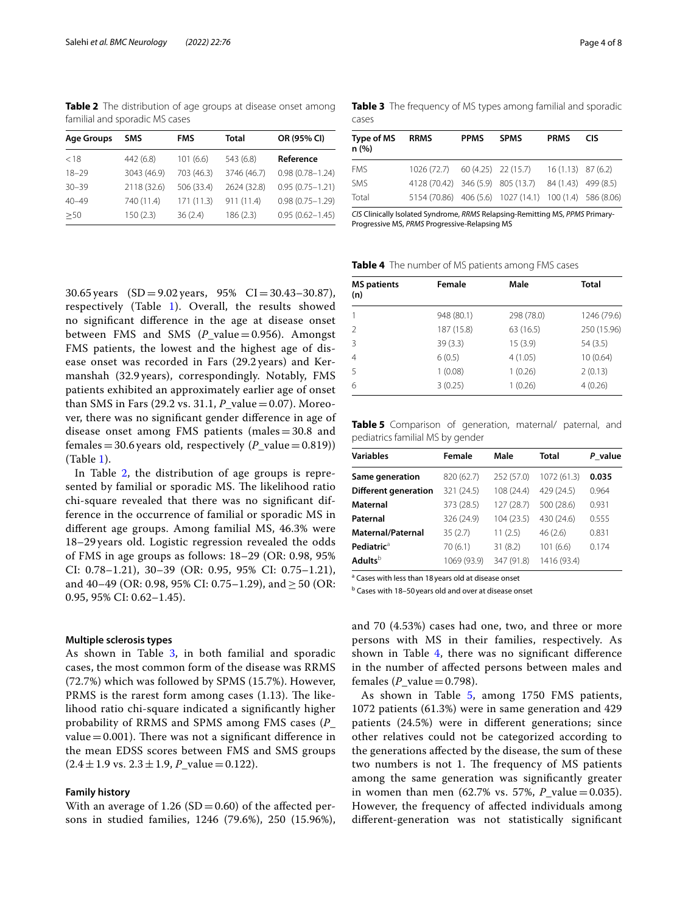<span id="page-3-0"></span>**Table 2** The distribution of age groups at disease onset among familial and sporadic MS cases

| <b>Age Groups</b> | SMS         | <b>FMS</b> | <b>Total</b> | OR (95% CI)         |
|-------------------|-------------|------------|--------------|---------------------|
| < 18              | 442 (6.8)   | 101(6.6)   | 543 (6.8)    | Reference           |
| $18 - 29$         | 3043 (46.9) | 703 (46.3) | 3746 (46.7)  | $0.98(0.78 - 1.24)$ |
| $30 - 39$         | 2118 (32.6) | 506 (33.4) | 2624 (32.8)  | $0.95(0.75 - 1.21)$ |
| $40 - 49$         | 740 (11.4)  | 171(11.3)  | 911 (11.4)   | $0.98(0.75 - 1.29)$ |
| >50               | 150(2.3)    | 36(2.4)    | 186(2.3)     | $0.95(0.62 - 1.45)$ |

<span id="page-3-1"></span>**Table 3** The frequency of MS types among familial and sporadic cases

| Type of MS<br>n(%) | <b>RRMS</b>                                             | <b>PPMS</b> | <b>SPMS</b> | <b>PRMS</b> | <b>CIS</b> |
|--------------------|---------------------------------------------------------|-------------|-------------|-------------|------------|
| <b>FMS</b>         | 1026 (72.7) 60 (4.25) 22 (15.7) 16 (1.13) 87 (6.2)      |             |             |             |            |
| SMS                | 4128 (70.42) 346 (5.9) 805 (13.7) 84 (1.43) 499 (8.5)   |             |             |             |            |
| Total              | 5154 (70.86) 406 (5.6) 1027 (14.1) 100 (1.4) 586 (8.06) |             |             |             |            |

*CIS* Clinically Isolated Syndrome, *RRMS* Relapsing-Remitting MS, *PPMS* Primary-Progressive MS, *PRMS* Progressive-Relapsing MS

<span id="page-3-2"></span>**Table 4** The number of MS patients among FMS cases

| 30.65 years $(SD = 9.02$ years, 95% $CI = 30.43 - 30.87$ ),    |
|----------------------------------------------------------------|
| respectively (Table 1). Overall, the results showed            |
| no significant difference in the age at disease onset          |
| between FMS and SMS $(P_{value}=0.956)$ . Amongst              |
| FMS patients, the lowest and the highest age of dis-           |
| ease onset was recorded in Fars (29.2 years) and Ker-          |
| manshah (32.9 years), correspondingly. Notably, FMS            |
| patients exhibited an approximately earlier age of onset       |
| than SMS in Fars (29.2 vs. 31.1, $P_{value} = 0.07$ ). Moreo-  |
| ver, there was no significant gender difference in age of      |
| disease onset among FMS patients (males $=$ 30.8 and           |
| females = 30.6 years old, respectively $(P_{value} = 0.819)$ ) |
| (Table 1).                                                     |
|                                                                |

In Table [2](#page-3-0), the distribution of age groups is represented by familial or sporadic MS. The likelihood ratio chi-square revealed that there was no signifcant difference in the occurrence of familial or sporadic MS in diferent age groups. Among familial MS, 46.3% were 18–29 years old. Logistic regression revealed the odds of FMS in age groups as follows: 18–29 (OR: 0.98, 95% CI: 0.78–1.21), 30–39 (OR: 0.95, 95% CI: 0.75–1.21), and 40–49 (OR: 0.98, 95% CI: 0.75–1.29), and  $\geq$  50 (OR: 0.95, 95% CI: 0.62–1.45).

#### **Multiple sclerosis types**

As shown in Table [3,](#page-3-1) in both familial and sporadic cases, the most common form of the disease was RRMS (72.7%) which was followed by SPMS (15.7%). However, PRMS is the rarest form among cases  $(1.13)$ . The likelihood ratio chi-square indicated a signifcantly higher probability of RRMS and SPMS among FMS cases (*P*\_ value =  $0.001$ ). There was not a significant difference in the mean EDSS scores between FMS and SMS groups  $(2.4 \pm 1.9 \text{ vs. } 2.3 \pm 1.9, P_{\text{value}} = 0.122).$ 

#### **Family history**

With an average of  $1.26$  (SD = 0.60) of the affected persons in studied families, 1246 (79.6%), 250 (15.96%),

**MS patients (n) Female Male Total** 1 948 (80.1) 298 (78.0) 1246 (79.6) 2 187 (15.8) 63 (16.5) 250 (15.96) 3 39 (3.3) 15 (3.9) 54 (3.5) 4 6 (0.5) 4 (1.05) 10 (0.64) 5 1 (0.08) 1 (0.26) 2 (0.13) 6 3 (0.25) 1 (0.26) 4 (0.26)

<span id="page-3-3"></span>**Table 5** Comparison of generation, maternal/ paternal, and pediatrics familial MS by gender

| <b>Variables</b>            | Female      | Male       | Total       | P value |
|-----------------------------|-------------|------------|-------------|---------|
| Same generation             | 820 (62.7)  | 252 (57.0) | 1072 (61.3) | 0.035   |
| <b>Different generation</b> | 321 (24.5)  | 108 (24.4) | 429 (24.5)  | 0.964   |
| Maternal                    | 373 (28.5)  | 127(28.7)  | 500 (28.6)  | 0.931   |
| Paternal                    | 326 (24.9)  | 104 (23.5) | 430 (24.6)  | 0.555   |
| <b>Maternal/Paternal</b>    | 35(2.7)     | 11(2.5)    | 46(2.6)     | 0.831   |
| Pediatric <sup>a</sup>      | 70 (6.1)    | 31(8.2)    | 101 (6.6)   | 0.174   |
| Adults <sup>b</sup>         | 1069 (93.9) | 347 (91.8) | 1416 (93.4) |         |

<sup>a</sup> Cases with less than 18 years old at disease onset

**b** Cases with 18-50 years old and over at disease onset

and 70 (4.53%) cases had one, two, and three or more persons with MS in their families, respectively. As shown in Table [4](#page-3-2), there was no signifcant diference in the number of afected persons between males and females  $(P_{value}=0.798)$ .

As shown in Table [5,](#page-3-3) among 1750 FMS patients, 1072 patients (61.3%) were in same generation and 429 patients (24.5%) were in diferent generations; since other relatives could not be categorized according to the generations afected by the disease, the sum of these two numbers is not 1. The frequency of MS patients among the same generation was signifcantly greater in women than men  $(62.7\% \text{ vs. } 57\%, P_{value}=0.035)$ . However, the frequency of afected individuals among diferent-generation was not statistically signifcant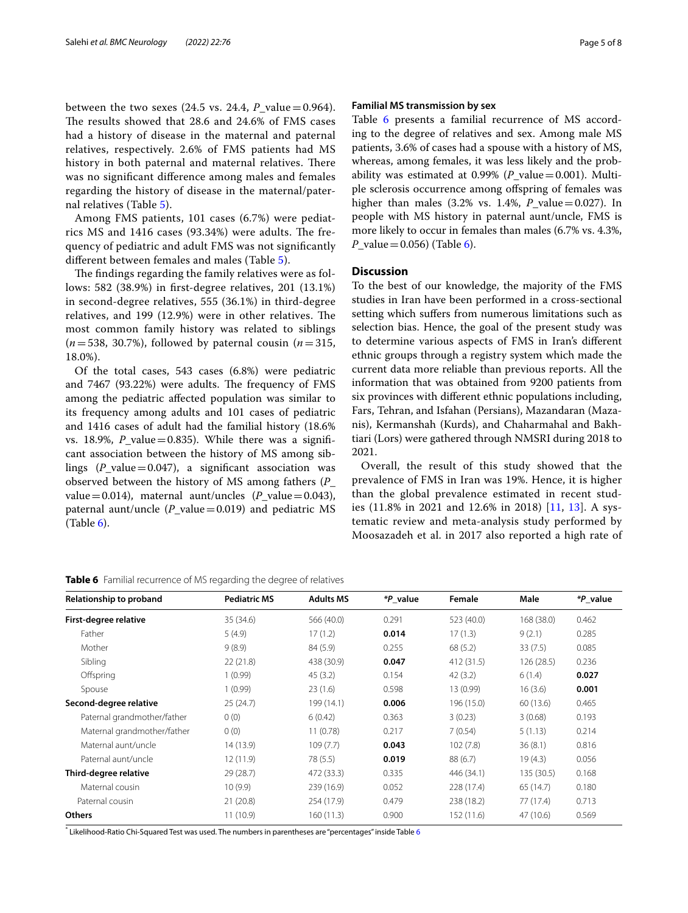between the two sexes  $(24.5 \text{ vs. } 24.4, P \text{ value}=0.964)$ . The results showed that 28.6 and 24.6% of FMS cases had a history of disease in the maternal and paternal relatives, respectively. 2.6% of FMS patients had MS history in both paternal and maternal relatives. There was no signifcant diference among males and females regarding the history of disease in the maternal/paternal relatives (Table [5](#page-3-3)).

Among FMS patients, 101 cases (6.7%) were pediatrics MS and  $1416$  cases (93.34%) were adults. The frequency of pediatric and adult FMS was not signifcantly diferent between females and males (Table [5\)](#page-3-3).

The findings regarding the family relatives were as follows: 582 (38.9%) in frst-degree relatives, 201 (13.1%) in second-degree relatives, 555 (36.1%) in third-degree relatives, and  $199$   $(12.9%)$  were in other relatives. The most common family history was related to siblings  $(n=538, 30.7\%)$ , followed by paternal cousin  $(n=315,$ 18.0%).

Of the total cases, 543 cases (6.8%) were pediatric and 7467 (93.22%) were adults. The frequency of FMS among the pediatric afected population was similar to its frequency among adults and 101 cases of pediatric and 1416 cases of adult had the familial history (18.6% vs. 18.9%,  $P$ <sub>\_</sub>value = 0.835). While there was a significant association between the history of MS among siblings  $(P_{value}=0.047)$ , a significant association was observed between the history of MS among fathers (*P*\_ value=0.014), maternal aunt/uncles  $(P_\text{value}=0.043)$ , paternal aunt/uncle  $(P_{value}=0.019)$  and pediatric MS  $(Table 6)$  $(Table 6)$  $(Table 6)$ .

#### **Familial MS transmission by sex**

Table [6](#page-4-0) presents a familial recurrence of MS according to the degree of relatives and sex. Among male MS patients, 3.6% of cases had a spouse with a history of MS, whereas, among females, it was less likely and the probability was estimated at 0.99% (*P*\_value=0.001). Multiple sclerosis occurrence among ofspring of females was higher than males  $(3.2\% \text{ vs. } 1.4\%, P \text{ value}=0.027)$ . In people with MS history in paternal aunt/uncle, FMS is more likely to occur in females than males (6.7% vs. 4.3%, *P* value = 0.05[6\)](#page-4-0) (Table 6).

#### **Discussion**

To the best of our knowledge, the majority of the FMS studies in Iran have been performed in a cross-sectional setting which sufers from numerous limitations such as selection bias. Hence, the goal of the present study was to determine various aspects of FMS in Iran's diferent ethnic groups through a registry system which made the current data more reliable than previous reports. All the information that was obtained from 9200 patients from six provinces with diferent ethnic populations including, Fars, Tehran, and Isfahan (Persians), Mazandaran (Mazanis), Kermanshah (Kurds), and Chaharmahal and Bakhtiari (Lors) were gathered through NMSRI during 2018 to 2021.

Overall, the result of this study showed that the prevalence of FMS in Iran was 19%. Hence, it is higher than the global prevalence estimated in recent studies (11.8% in 2021 and 12.6% in 2018) [\[11](#page-7-6), [13](#page-7-8)]. A systematic review and meta-analysis study performed by Moosazadeh et al. in 2017 also reported a high rate of

| Relationship to proband     | <b>Pediatric MS</b> | <b>Adults MS</b> | <i>*P</i> value | Female     | Male       | *P value |
|-----------------------------|---------------------|------------------|-----------------|------------|------------|----------|
| First-degree relative       | 35 (34.6)           | 566 (40.0)       | 0.291           | 523 (40.0) | 168 (38.0) | 0.462    |
| Father                      | 5(4.9)              | 17(1.2)          | 0.014           | 17(1.3)    | 9(2.1)     | 0.285    |
| Mother                      | 9(8.9)              | 84 (5.9)         | 0.255           | 68(5.2)    | 33(7.5)    | 0.085    |
| Sibling                     | 22(21.8)            | 438 (30.9)       | 0.047           | 412 (31.5) | 126 (28.5) | 0.236    |
| Offspring                   | 1(0.99)             | 45(3.2)          | 0.154           | 42(3.2)    | 6(1.4)     | 0.027    |
| Spouse                      | 1(0.99)             | 23(1.6)          | 0.598           | 13 (0.99)  | 16(3.6)    | 0.001    |
| Second-degree relative      | 25(24.7)            | 199 (14.1)       | 0.006           | 196 (15.0) | 60 (13.6)  | 0.465    |
| Paternal grandmother/father | 0(0)                | 6(0.42)          | 0.363           | 3(0.23)    | 3(0.68)    | 0.193    |
| Maternal grandmother/father | 0(0)                | 11(0.78)         | 0.217           | 7(0.54)    | 5(1.13)    | 0.214    |
| Maternal aunt/uncle         | 14 (13.9)           | 109(7.7)         | 0.043           | 102(7.8)   | 36(8.1)    | 0.816    |
| Paternal aunt/uncle         | 12(11.9)            | 78 (5.5)         | 0.019           | 88(6.7)    | 19(4.3)    | 0.056    |
| Third-degree relative       | 29 (28.7)           | 472 (33.3)       | 0.335           | 446 (34.1) | 135 (30.5) | 0.168    |
| Maternal cousin             | 10(9.9)             | 239 (16.9)       | 0.052           | 228 (17.4) | 65 (14.7)  | 0.180    |
| Paternal cousin             | 21(20.8)            | 254 (17.9)       | 0.479           | 238 (18.2) | 77 (17.4)  | 0.713    |
| <b>Others</b>               | 11 (10.9)           | 160(11.3)        | 0.900           | 152 (11.6) | 47 (10.6)  | 0.569    |

<span id="page-4-0"></span>**Table 6** Familial recurrence of MS regarding the degree of relatives

\* Likelihood-Ratio Chi-Squared Test was used. The numbers in parentheses are "percentages" inside Table [6](#page-4-0)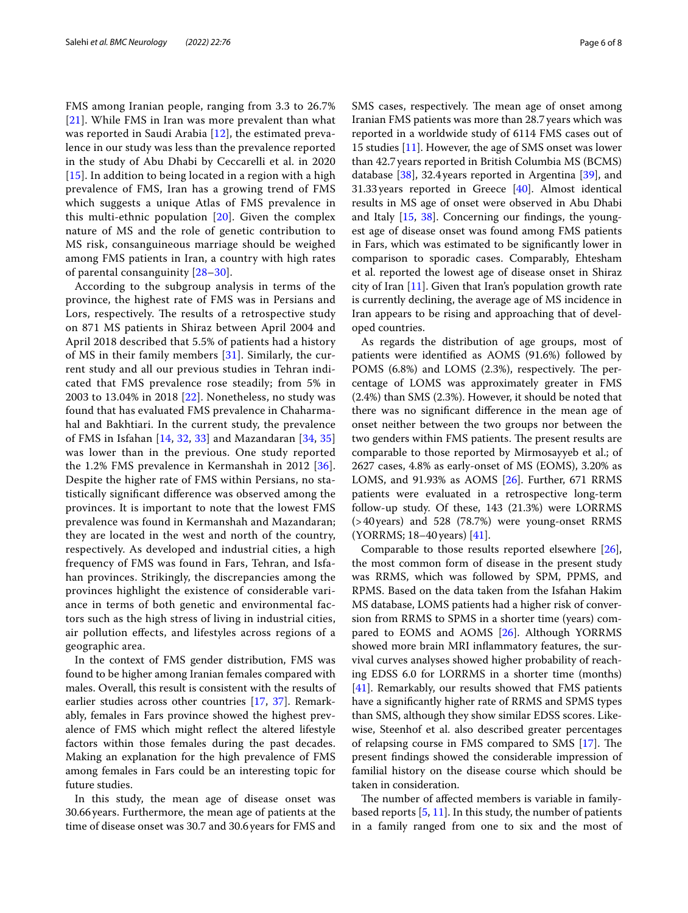FMS among Iranian people, ranging from 3.3 to 26.7% [[21](#page-7-15)]. While FMS in Iran was more prevalent than what was reported in Saudi Arabia [\[12\]](#page-7-7), the estimated prevalence in our study was less than the prevalence reported in the study of Abu Dhabi by Ceccarelli et al. in 2020 [[15](#page-7-22)]. In addition to being located in a region with a high prevalence of FMS, Iran has a growing trend of FMS which suggests a unique Atlas of FMS prevalence in this multi-ethnic population [[20\]](#page-7-14). Given the complex nature of MS and the role of genetic contribution to MS risk, consanguineous marriage should be weighed among FMS patients in Iran, a country with high rates of parental consanguinity [\[28–](#page-7-23)[30\]](#page-7-24).

According to the subgroup analysis in terms of the province, the highest rate of FMS was in Persians and Lors, respectively. The results of a retrospective study on 871 MS patients in Shiraz between April 2004 and April 2018 described that 5.5% of patients had a history of MS in their family members [\[31](#page-7-25)]. Similarly, the current study and all our previous studies in Tehran indicated that FMS prevalence rose steadily; from 5% in 2003 to 13.04% in 2018 [\[22](#page-7-16)]. Nonetheless, no study was found that has evaluated FMS prevalence in Chaharmahal and Bakhtiari. In the current study, the prevalence of FMS in Isfahan [\[14](#page-7-9), [32,](#page-7-26) [33\]](#page-7-27) and Mazandaran [[34](#page-7-28), [35](#page-7-29)] was lower than in the previous. One study reported the 1.2% FMS prevalence in Kermanshah in 2012 [[36\]](#page-7-30). Despite the higher rate of FMS within Persians, no statistically signifcant diference was observed among the provinces. It is important to note that the lowest FMS prevalence was found in Kermanshah and Mazandaran; they are located in the west and north of the country, respectively. As developed and industrial cities, a high frequency of FMS was found in Fars, Tehran, and Isfahan provinces. Strikingly, the discrepancies among the provinces highlight the existence of considerable variance in terms of both genetic and environmental factors such as the high stress of living in industrial cities, air pollution efects, and lifestyles across regions of a geographic area.

In the context of FMS gender distribution, FMS was found to be higher among Iranian females compared with males. Overall, this result is consistent with the results of earlier studies across other countries [\[17,](#page-7-11) [37\]](#page-7-31). Remarkably, females in Fars province showed the highest prevalence of FMS which might refect the altered lifestyle factors within those females during the past decades. Making an explanation for the high prevalence of FMS among females in Fars could be an interesting topic for future studies.

In this study, the mean age of disease onset was 30.66years. Furthermore, the mean age of patients at the time of disease onset was 30.7 and 30.6 years for FMS and SMS cases, respectively. The mean age of onset among Iranian FMS patients was more than 28.7 years which was reported in a worldwide study of 6114 FMS cases out of 15 studies [\[11\]](#page-7-6). However, the age of SMS onset was lower than 42.7years reported in British Columbia MS (BCMS) database [[38](#page-7-32)], 32.4years reported in Argentina [[39\]](#page-7-33), and 31.33years reported in Greece [\[40\]](#page-7-34). Almost identical results in MS age of onset were observed in Abu Dhabi and Italy  $[15, 38]$  $[15, 38]$  $[15, 38]$  $[15, 38]$  $[15, 38]$ . Concerning our findings, the youngest age of disease onset was found among FMS patients in Fars, which was estimated to be signifcantly lower in comparison to sporadic cases. Comparably, Ehtesham et al. reported the lowest age of disease onset in Shiraz city of Iran [[11](#page-7-6)]. Given that Iran's population growth rate is currently declining, the average age of MS incidence in Iran appears to be rising and approaching that of developed countries.

As regards the distribution of age groups, most of patients were identifed as AOMS (91.6%) followed by POMS (6.8%) and LOMS (2.3%), respectively. The percentage of LOMS was approximately greater in FMS (2.4%) than SMS (2.3%). However, it should be noted that there was no signifcant diference in the mean age of onset neither between the two groups nor between the two genders within FMS patients. The present results are comparable to those reported by Mirmosayyeb et al.; of 2627 cases, 4.8% as early-onset of MS (EOMS), 3.20% as LOMS, and 91.93% as AOMS [[26\]](#page-7-20). Further, 671 RRMS patients were evaluated in a retrospective long-term follow-up study. Of these, 143 (21.3%) were LORRMS (>40years) and 528 (78.7%) were young-onset RRMS (YORRMS; 18–40years) [[41\]](#page-7-35).

Comparable to those results reported elsewhere [\[26](#page-7-20)], the most common form of disease in the present study was RRMS, which was followed by SPM, PPMS, and RPMS. Based on the data taken from the Isfahan Hakim MS database, LOMS patients had a higher risk of conversion from RRMS to SPMS in a shorter time (years) compared to EOMS and AOMS [[26\]](#page-7-20). Although YORRMS showed more brain MRI infammatory features, the survival curves analyses showed higher probability of reaching EDSS 6.0 for LORRMS in a shorter time (months) [[41\]](#page-7-35). Remarkably, our results showed that FMS patients have a signifcantly higher rate of RRMS and SPMS types than SMS, although they show similar EDSS scores. Likewise, Steenhof et al. also described greater percentages of relapsing course in FMS compared to SMS  $[17]$  $[17]$ . The present fndings showed the considerable impression of familial history on the disease course which should be taken in consideration.

The number of affected members is variable in familybased reports [\[5](#page-7-1), [11\]](#page-7-6). In this study, the number of patients in a family ranged from one to six and the most of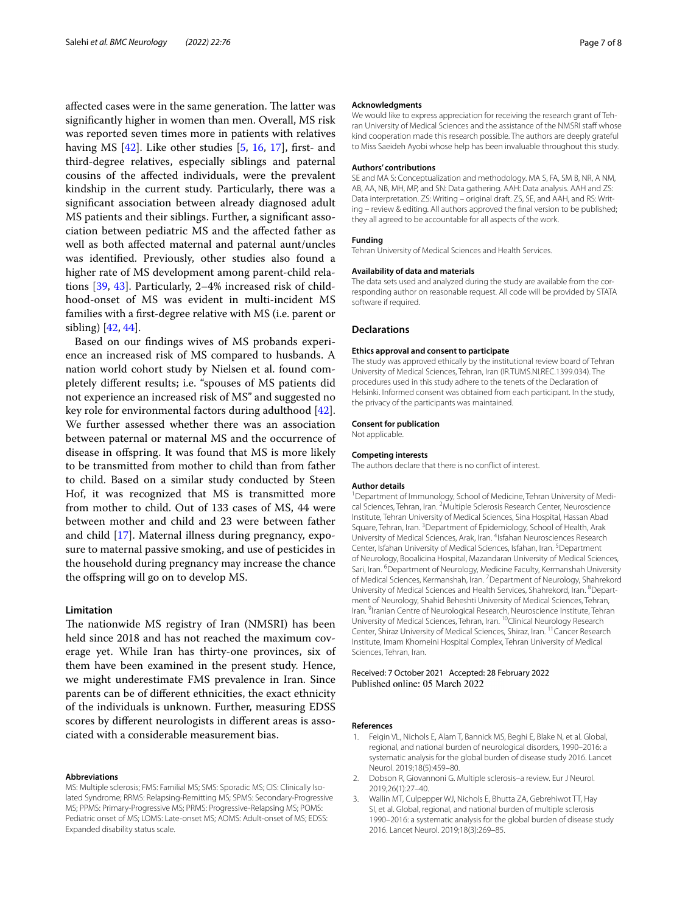affected cases were in the same generation. The latter was signifcantly higher in women than men. Overall, MS risk was reported seven times more in patients with relatives having MS  $[42]$ . Like other studies  $[5, 16, 17]$  $[5, 16, 17]$  $[5, 16, 17]$  $[5, 16, 17]$  $[5, 16, 17]$  $[5, 16, 17]$ , first- and third-degree relatives, especially siblings and paternal cousins of the afected individuals, were the prevalent kindship in the current study. Particularly, there was a signifcant association between already diagnosed adult MS patients and their siblings. Further, a signifcant association between pediatric MS and the afected father as well as both afected maternal and paternal aunt/uncles was identifed. Previously, other studies also found a higher rate of MS development among parent-child relations [\[39](#page-7-33), [43](#page-7-37)]. Particularly, 2–4% increased risk of childhood-onset of MS was evident in multi-incident MS families with a frst-degree relative with MS (i.e. parent or sibling) [\[42](#page-7-36), [44\]](#page-7-38).

Based on our fndings wives of MS probands experience an increased risk of MS compared to husbands. A nation world cohort study by Nielsen et al. found completely diferent results; i.e. "spouses of MS patients did not experience an increased risk of MS" and suggested no key role for environmental factors during adulthood [\[42](#page-7-36)]. We further assessed whether there was an association between paternal or maternal MS and the occurrence of disease in ofspring. It was found that MS is more likely to be transmitted from mother to child than from father to child. Based on a similar study conducted by Steen Hof, it was recognized that MS is transmitted more from mother to child. Out of 133 cases of MS, 44 were between mother and child and 23 were between father and child [[17\]](#page-7-11). Maternal illness during pregnancy, exposure to maternal passive smoking, and use of pesticides in the household during pregnancy may increase the chance the ofspring will go on to develop MS.

### **Limitation**

The nationwide MS registry of Iran (NMSRI) has been held since 2018 and has not reached the maximum coverage yet. While Iran has thirty-one provinces, six of them have been examined in the present study. Hence, we might underestimate FMS prevalence in Iran. Since parents can be of diferent ethnicities, the exact ethnicity of the individuals is unknown. Further, measuring EDSS scores by diferent neurologists in diferent areas is associated with a considerable measurement bias.

#### **Abbreviations**

MS: Multiple sclerosis; FMS: Familial MS; SMS: Sporadic MS; CIS: Clinically Isolated Syndrome; RRMS: Relapsing-Remitting MS; SPMS: Secondary-Progressive MS; PPMS: Primary-Progressive MS; PRMS: Progressive-Relapsing MS; POMS: Pediatric onset of MS; LOMS: Late-onset MS; AOMS: Adult-onset of MS; EDSS: Expanded disability status scale.

#### **Acknowledgments**

We would like to express appreciation for receiving the research grant of Tehran University of Medical Sciences and the assistance of the NMSRI staff whose kind cooperation made this research possible. The authors are deeply grateful to Miss Saeideh Ayobi whose help has been invaluable throughout this study.

#### **Authors' contributions**

SE and MA S: Conceptualization and methodology. MA S, FA, SM B, NR, A NM, AB, AA, NB, MH, MP, and SN: Data gathering. AAH: Data analysis. AAH and ZS: Data interpretation. ZS: Writing – original draft. ZS, SE, and AAH, and RS: Writing – review & editing. All authors approved the fnal version to be published; they all agreed to be accountable for all aspects of the work.

#### **Funding**

Tehran University of Medical Sciences and Health Services.

#### **Availability of data and materials**

The data sets used and analyzed during the study are available from the corresponding author on reasonable request. All code will be provided by STATA software if required.

#### **Declarations**

#### **Ethics approval and consent to participate**

The study was approved ethically by the institutional review board of Tehran University of Medical Sciences, Tehran, Iran (IR.TUMS.NI.REC.1399.034). The procedures used in this study adhere to the tenets of the Declaration of Helsinki. Informed consent was obtained from each participant. In the study, the privacy of the participants was maintained.

#### **Consent for publication**

Not applicable.

# **Competing interests**

The authors declare that there is no confict of interest.

#### **Author details**

<sup>1</sup> Department of Immunology, School of Medicine, Tehran University of Medical Sciences, Tehran, Iran. <sup>2</sup> Multiple Sclerosis Research Center, Neuroscience Institute, Tehran University of Medical Sciences, Sina Hospital, Hassan Abad Square, Tehran, Iran.<sup>3</sup> Department of Epidemiology, School of Health, Arak University of Medical Sciences, Arak, Iran. <sup>4</sup>Isfahan Neurosciences Research Center, Isfahan University of Medical Sciences, Isfahan, Iran. <sup>5</sup> Department of Neurology, Booalicina Hospital, Mazandaran University of Medical Sciences, Sari, Iran. <sup>6</sup> Department of Neurology, Medicine Faculty, Kermanshah University of Medical Sciences, Kermanshah, Iran. 7 Department of Neurology, Shahrekord University of Medical Sciences and Health Services, Shahrekord, Iran. <sup>8</sup> Department of Neurology, Shahid Beheshti University of Medical Sciences, Tehran, Iran. <sup>9</sup> Iranian Centre of Neurological Research, Neuroscience Institute, Tehran University of Medical Sciences, Tehran, Iran. 10Clinical Neurology Research Center, Shiraz University of Medical Sciences, Shiraz, Iran. 11Cancer Research Institute, Imam Khomeini Hospital Complex, Tehran University of Medical Sciences, Tehran, Iran.

#### Received: 7 October 2021 Accepted: 28 February 2022 Published online: 05 March 2022

#### **References**

- <span id="page-6-0"></span>1. Feigin VL, Nichols E, Alam T, Bannick MS, Beghi E, Blake N, et al. Global, regional, and national burden of neurological disorders, 1990–2016: a systematic analysis for the global burden of disease study 2016. Lancet Neurol. 2019;18(5):459–80.
- <span id="page-6-1"></span>2. Dobson R, Giovannoni G. Multiple sclerosis–a review. Eur J Neurol. 2019;26(1):27–40.
- <span id="page-6-2"></span>3. Wallin MT, Culpepper WJ, Nichols E, Bhutta ZA, Gebrehiwot TT, Hay SI, et al. Global, regional, and national burden of multiple sclerosis 1990–2016: a systematic analysis for the global burden of disease study 2016. Lancet Neurol. 2019;18(3):269–85.